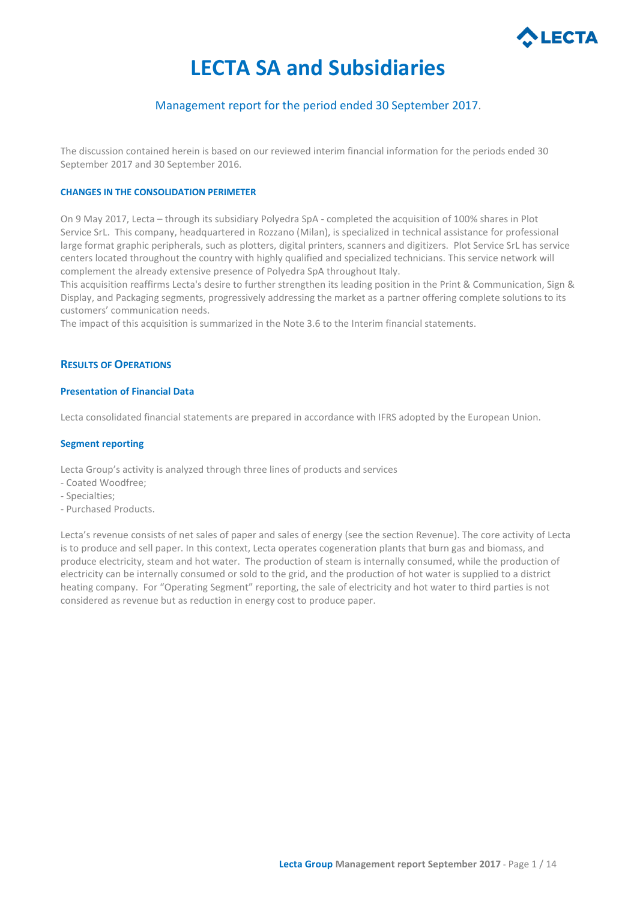

# **LECTA SA and Subsidiaries**

# Management report for the period ended 30 September 2017.

The discussion contained herein is based on our reviewed interim financial information for the periods ended 30 September 2017 and 30 September 2016.

## **CHANGES IN THE CONSOLIDATION PERIMETER**

On 9 May 2017, Lecta – through its subsidiary Polyedra SpA - completed the acquisition of 100% shares in Plot Service SrL. This company, headquartered in Rozzano (Milan), is specialized in technical assistance for professional large format graphic peripherals, such as plotters, digital printers, scanners and digitizers. Plot Service SrL has service centers located throughout the country with highly qualified and specialized technicians. This service network will complement the already extensive presence of Polyedra SpA throughout Italy.

This acquisition reaffirms Lecta's desire to further strengthen its leading position in the Print & Communication, Sign & Display, and Packaging segments, progressively addressing the market as a partner offering complete solutions to its customers' communication needs.

The impact of this acquisition is summarized in the Note 3.6 to the Interim financial statements.

## **RESULTS OF OPERATIONS**

## **Presentation of Financial Data**

Lecta consolidated financial statements are prepared in accordance with IFRS adopted by the European Union.

## **Segment reporting**

Lecta Group's activity is analyzed through three lines of products and services

- Coated Woodfree;
- Specialties;
- Purchased Products.

Lecta's revenue consists of net sales of paper and sales of energy (see the section Revenue). The core activity of Lecta is to produce and sell paper. In this context, Lecta operates cogeneration plants that burn gas and biomass, and produce electricity, steam and hot water. The production of steam is internally consumed, while the production of electricity can be internally consumed or sold to the grid, and the production of hot water is supplied to a district heating company. For "Operating Segment" reporting, the sale of electricity and hot water to third parties is not considered as revenue but as reduction in energy cost to produce paper.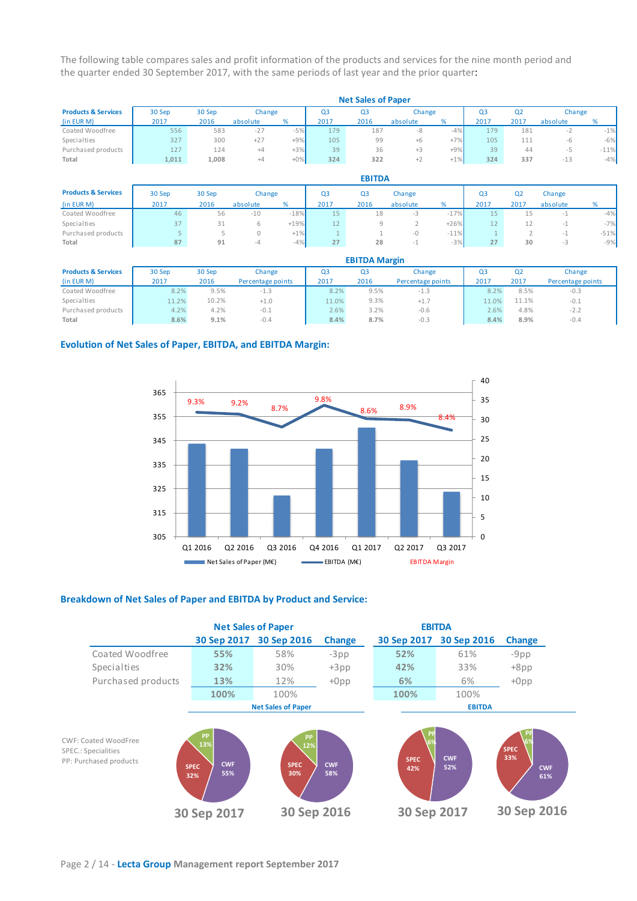The following table compares sales and profit information of the products and services for the nine month period and the quarter ended 30 September 2017, with the same periods of last year and the prior quarter:

|                                | <b>Net Sales of Paper</b> |        |          |        |                |      |          |        |      |                |          |        |
|--------------------------------|---------------------------|--------|----------|--------|----------------|------|----------|--------|------|----------------|----------|--------|
| <b>Products &amp; Services</b> | 30 Sep                    | 30 Sep | Change   |        | Q <sub>3</sub> | Q3   | Change   |        | O3   | Q <sub>2</sub> | Change   |        |
| (in EUR M)                     | 2017                      | 2016   | absolute | %      | 2017           | 2016 | absolute |        | 2017 | 2017           | absolute |        |
| Coated Woodfree                | 556                       | 583    | $-27$    | $-5%$  | 179            | 187  | -8       | $-4%$  | 179  | 181            | $-1$     | $-1%$  |
| Specialties                    | 327                       | 300    | $+27$    | $+9%$  | 105            | 99   | $+6$     | $+7%$  | 105  |                | -h       | $-6%$  |
| Purchased products             | 127                       | 124    | +4       | $+3%$  | 39             | 36   | $+3$     | $+9%$  | 39   | 44             |          | $-11%$ |
| Total                          | 1,011                     | 1.008  | +4       | $+0\%$ | 324            | 322  | ÷Z.      | $+1\%$ | 324  | 337            | $-13$    | $-4%$  |

|                                | <b>EBITDA</b> |        |          |        |      |                |          |        |      |                |          |        |
|--------------------------------|---------------|--------|----------|--------|------|----------------|----------|--------|------|----------------|----------|--------|
| <b>Products &amp; Services</b> | 30 Sep        | 30 Sep |          | Change | Q3   | Q <sub>3</sub> | Change   |        | QЗ   | Q <sub>2</sub> | Change   |        |
| (in EUR M)                     | 2017          | 2016   | absolute | %      | 2017 | 2016           | absolute | %      | 2017 | 2017           | absolute | ℅      |
| Coated Woodfree                | 46            | 56     | $-10$    | $-18%$ | 15   | 18             | -3       | $-17%$ | 15   |                | $-1$     | $-4%$  |
| Specialties                    | 37            | 31     |          | $+19%$ | 12   |                |          | $+26%$ | 12   |                | - 1      | $-7%$  |
| Purchased products             |               |        |          | $+1\%$ |      |                | -0       | $-11%$ |      |                | $-1$     | $-51%$ |
| Total                          | 87            | 91     | -4       | $-4%$  | 27   | 28             |          | $-3%$  | 27   | 30             |          | $-9%$  |

|                                | <b>EBITDA Margin</b> |        |                   |                |      |                   |                |                |                   |  |
|--------------------------------|----------------------|--------|-------------------|----------------|------|-------------------|----------------|----------------|-------------------|--|
| <b>Products &amp; Services</b> | 30 Sep               | 30 Sep | Change            | Q <sub>3</sub> | Q3   | Change            | Q <sub>3</sub> | Q <sub>2</sub> | Change            |  |
| (in EUR M)                     | 2017                 | 2016   | Percentage points | 2017           | 2016 | Percentage points | 2017           | 2017           | Percentage points |  |
| Coated Woodfree                | 8.2%                 | 9.5%   | -1.3              | 8.2%           | 9.5% | $-1.3$            | 8.2%           | 8.5%           | $-0.3$            |  |
| Specialties                    | 1.2%                 | 10.2%  | $+1.0$            | 11.0%          | 9.3% | $+1.7$            | 11.0%          | 11.1%          | $-0.1$            |  |
| Purchased products             | 4.2%                 | 4.2%   | $-0.1$            | 2.6%           | 3.2% | $-0.6$            | 2.6%           | 4.8%           | $-2.2$            |  |
| Total                          | 8.6%                 | 9.1%   | $-0.4$            | 8.4%           | 8.7% | $-0.3$            | 8.4%           | 8.9%           | $-0.4$            |  |

## **Evolution of Net Sales of Paper, EBITDA, and EBITDA Margin:**



## **Breakdown of Net Sales of Paper and EBITDA by Product and Service:**

|                                                                              | <b>Net Sales of Paper</b>                            |                                        |                   | <b>EBITDA</b>                  |                   |                                               |  |  |
|------------------------------------------------------------------------------|------------------------------------------------------|----------------------------------------|-------------------|--------------------------------|-------------------|-----------------------------------------------|--|--|
|                                                                              | 30 Sep 2017                                          | 30 Sep 2016                            | <b>Change</b>     | 30 Sep 2017                    | 30 Sep 2016       | <b>Change</b>                                 |  |  |
| Coated Woodfree                                                              | 55%                                                  | 58%                                    | $-3pp$            | 52%                            | 61%               | $-9$ pp                                       |  |  |
| Specialties                                                                  | 32%                                                  | 30%                                    | $+3pp$            | 42%                            | 33%               | $+8pp$                                        |  |  |
| Purchased products                                                           | 13%                                                  | 12%                                    | $+0$ pp           | 6%                             | 6%                | $+0$ pp                                       |  |  |
|                                                                              | 100%                                                 | 100%                                   |                   | 100%                           | 100%              |                                               |  |  |
|                                                                              |                                                      | <b>Net Sales of Paper</b>              |                   | <b>EBITDA</b>                  |                   |                                               |  |  |
| CWF: Coated WoodFree<br><b>SPEC.: Specialities</b><br>PP: Purchased products | PP<br>13%<br><b>CWF</b><br><b>SPEC</b><br>55%<br>32% | <b>PP</b><br>12%<br><b>SPEC</b><br>30% | <b>CWF</b><br>58% | PP<br>6%<br><b>SPEC</b><br>42% | <b>CWF</b><br>52% | 6%<br><b>SPEC</b><br>33%<br><b>CWF</b><br>61% |  |  |
|                                                                              | 30 Sep 2017                                          | 30 Sep 2016                            |                   | 30 Sep 2017                    |                   | 30 Sep 2016                                   |  |  |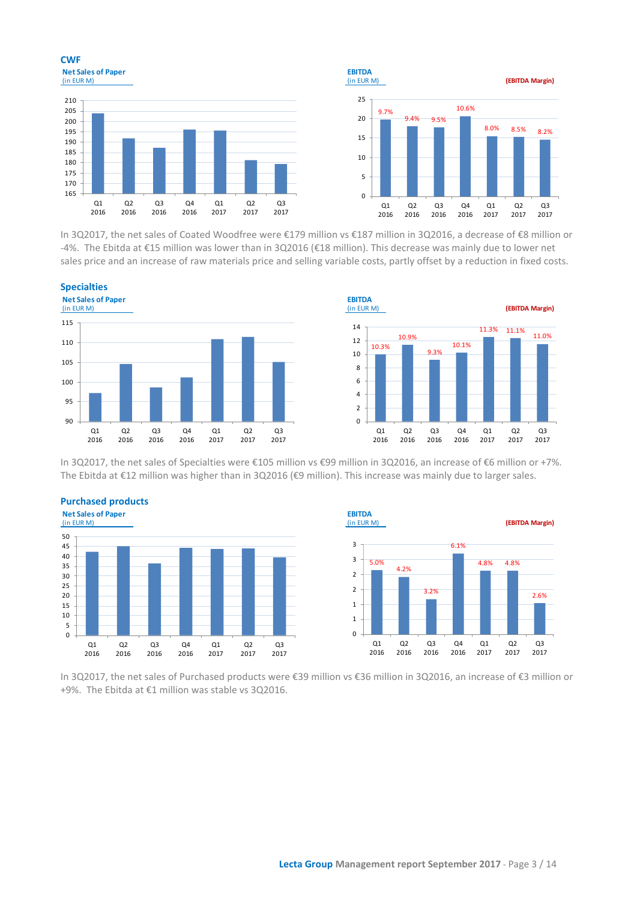





In 3Q2017, the net sales of Coated Woodfree were €179 million vs €187 million in 3Q2016, a decrease of €8 million or -4%. The Ebitda at €15 million was lower than in 3Q2016 (€18 million). This decrease was mainly due to lower net sales price and an increase of raw materials price and selling variable costs, partly offset by a reduction in fixed costs.





In 3Q2017, the net sales of Specialties were €105 million vs €99 million in 3Q2016, an increase of €6 million or +7%. The Ebitda at €12 million was higher than in 3Q2016 (€9 million). This increase was mainly due to larger sales.





In 3Q2017, the net sales of Purchased products were €39 million vs €36 million in 3Q2016, an increase of €3 million or +9%. The Ebitda at €1 million was stable vs 3Q2016.

**Purchased products**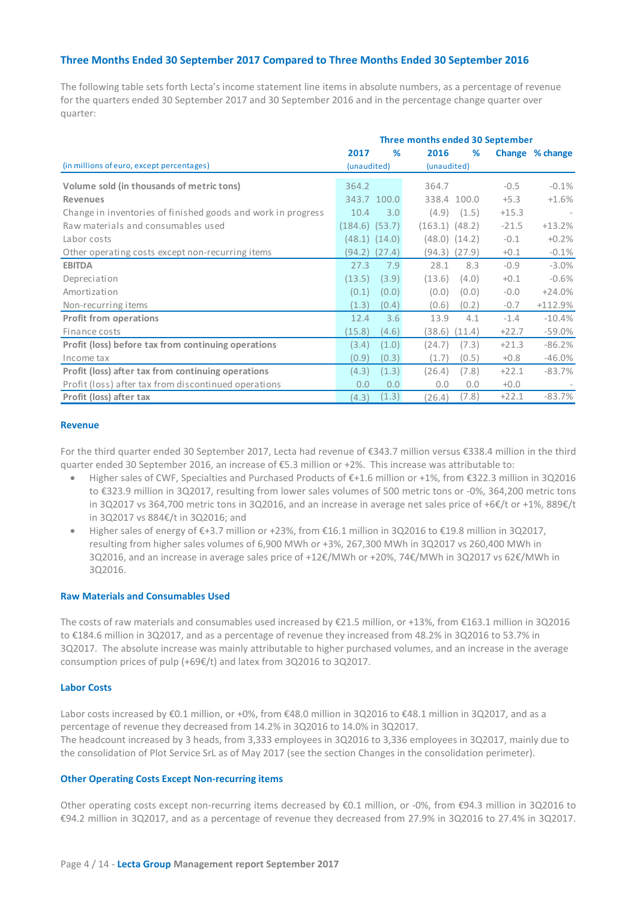## **Three Months Ended 30 September 2017 Compared to Three Months Ended 30 September 2016**

The following table sets forth Lecta's income statement line items in absolute numbers, as a percentage of revenue for the quarters ended 30 September 2017 and 30 September 2016 and in the percentage change quarter over quarter:

|                                                              | Three months ended 30 September |                   |                    |                   |         |                 |
|--------------------------------------------------------------|---------------------------------|-------------------|--------------------|-------------------|---------|-----------------|
|                                                              | 2017                            | %                 | 2016               | %                 |         | Change % change |
| (in millions of euro, except percentages)                    | (unaudited)                     |                   | (unaudited)        |                   |         |                 |
| Volume sold (in thousands of metric tons)                    | 364.2                           |                   | 364.7              |                   | $-0.5$  | $-0.1%$         |
| <b>Revenues</b>                                              |                                 | 343.7 100.0       |                    | 338.4 100.0       | $+5.3$  | $+1.6%$         |
| Change in inventories of finished goods and work in progress | 10.4                            | 3.0               |                    | $(4.9)$ $(1.5)$   | $+15.3$ |                 |
| Raw materials and consumables used                           | $(184.6)$ $(53.7)$              |                   | $(163.1)$ $(48.2)$ |                   | $-21.5$ | $+13.2%$        |
| Labor costs                                                  |                                 | $(48.1)$ $(14.0)$ |                    | $(48.0)$ $(14.2)$ | $-0.1$  | $+0.2%$         |
| Other operating costs except non-recurring items             | (94.2)                          | (27.4)            | (94.3)             | (27.9)            | $+0.1$  | $-0.1%$         |
| <b>EBITDA</b>                                                | 27.3                            | 7.9               | 28.1               | 8.3               | $-0.9$  | $-3.0%$         |
| Depreciation                                                 | (13.5)                          | (3.9)             | (13.6)             | (4.0)             | $+0.1$  | $-0.6%$         |
| Amortization                                                 | (0.1)                           | (0.0)             | (0.0)              | (0.0)             | $-0.0$  | $+24.0%$        |
| Non-recurring items                                          | (1.3)                           | (0.4)             | (0.6)              | (0.2)             | $-0.7$  | $+112.9%$       |
| <b>Profit from operations</b>                                | 12.4                            | 3.6               | 13.9               | 4.1               | $-1.4$  | $-10.4%$        |
| Finance costs                                                | (15.8)                          | (4.6)             | (38.6)             | (11.4)            | $+22.7$ | $-59.0%$        |
| Profit (loss) before tax from continuing operations          | (3.4)                           | (1.0)             | (24.7)             | (7.3)             | $+21.3$ | $-86.2%$        |
| Income tax                                                   | (0.9)                           | (0.3)             | (1.7)              | (0.5)             | $+0.8$  | $-46.0%$        |
| Profit (loss) after tax from continuing operations           | (4.3)                           | (1.3)             | (26.4)             | (7.8)             | $+22.1$ | $-83.7%$        |
| Profit (loss) after tax from discontinued operations         | 0.0                             | 0.0               | 0.0                | 0.0               | $+0.0$  |                 |
| Profit (loss) after tax                                      | (4.3)                           | (1.3)             | (26.4)             | (7.8)             | $+22.1$ | $-83.7%$        |

## **Revenue**

For the third quarter ended 30 September 2017, Lecta had revenue of €343.7 million versus €338.4 million in the third quarter ended 30 September 2016, an increase of €5.3 million or +2%. This increase was attributable to:

- Higher sales of CWF, Specialties and Purchased Products of €+1.6 million or +1%, from €322.3 million in 3Q2016 to €323.9 million in 3Q2017, resulting from lower sales volumes of 500 metric tons or -0%, 364,200 metric tons in 3Q2017 vs 364,700 metric tons in 3Q2016, and an increase in average net sales price of +6€/t or +1%, 889€/t in 3Q2017 vs 884€/t in 3Q2016; and
- Higher sales of energy of €+3.7 million or +23%, from €16.1 million in 3Q2016 to €19.8 million in 3Q2017, resulting from higher sales volumes of 6,900 MWh or +3%, 267,300 MWh in 3Q2017 vs 260,400 MWh in 3Q2016, and an increase in average sales price of +12€/MWh or +20%, 74€/MWh in 3Q2017 vs 62€/MWh in 3Q2016.

## **Raw Materials and Consumables Used**

The costs of raw materials and consumables used increased by €21.5 million, or +13%, from €163.1 million in 3Q2016 to €184.6 million in 3Q2017, and as a percentage of revenue they increased from 48.2% in 3Q2016 to 53.7% in 3Q2017. The absolute increase was mainly attributable to higher purchased volumes, and an increase in the average consumption prices of pulp (+69€/t) and latex from 3Q2016 to 3Q2017.

## **Labor Costs**

Labor costs increased by €0.1 million, or +0%, from €48.0 million in 3Q2016 to €48.1 million in 3Q2017, and as a percentage of revenue they decreased from 14.2% in 3Q2016 to 14.0% in 3Q2017. The headcount increased by 3 heads, from 3,333 employees in 3Q2016 to 3,336 employees in 3Q2017, mainly due to the consolidation of Plot Service SrL as of May 2017 (see the section Changes in the consolidation perimeter).

#### **Other Operating Costs Except Non-recurring items**

Other operating costs except non-recurring items decreased by €0.1 million, or -0%, from €94.3 million in 3Q2016 to €94.2 million in 3Q2017, and as a percentage of revenue they decreased from 27.9% in 3Q2016 to 27.4% in 3Q2017.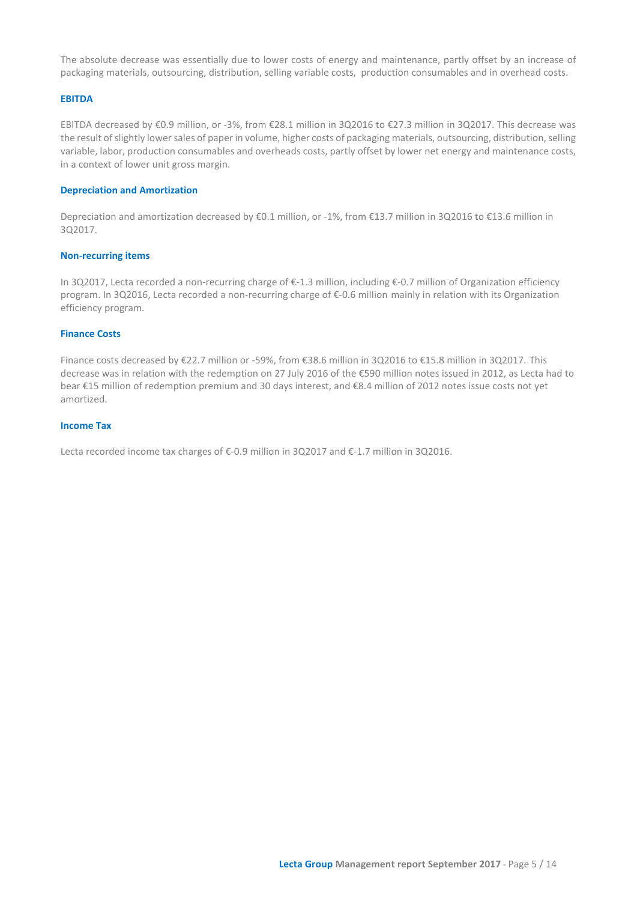The absolute decrease was essentially due to lower costs of energy and maintenance, partly offset by an increase of packaging materials, outsourcing, distribution, selling variable costs, production consumables and in overhead costs.

## **EBITDA**

EBITDA decreased by €0.9 million, or -3%, from €28.1 million in 3Q2016 to €27.3 million in 3Q2017. This decrease was the result of slightly lower sales of paper in volume, higher costs of packaging materials, outsourcing, distribution, selling variable, labor, production consumables and overheads costs, partly offset by lower net energy and maintenance costs, in a context of lower unit gross margin.

#### **Depreciation and Amortization**

Depreciation and amortization decreased by €0.1 million, or -1%, from €13.7 million in 3Q2016 to €13.6 million in 3Q2017.

## **Non-recurring items**

In 3Q2017, Lecta recorded a non-recurring charge of €-1.3 million, including €-0.7 million of Organization efficiency program. In 3Q2016, Lecta recorded a non-recurring charge of €-0.6 million mainly in relation with its Organization efficiency program.

## **Finance Costs**

Finance costs decreased by €22.7 million or -59%, from €38.6 million in 3Q2016 to €15.8 million in 3Q2017. This decrease was in relation with the redemption on 27 July 2016 of the €590 million notes issued in 2012, as Lecta had to bear €15 million of redemption premium and 30 days interest, and €8.4 million of 2012 notes issue costs not yet amortized.

## **Income Tax**

Lecta recorded income tax charges of €-0.9 million in 3Q2017 and €-1.7 million in 3Q2016.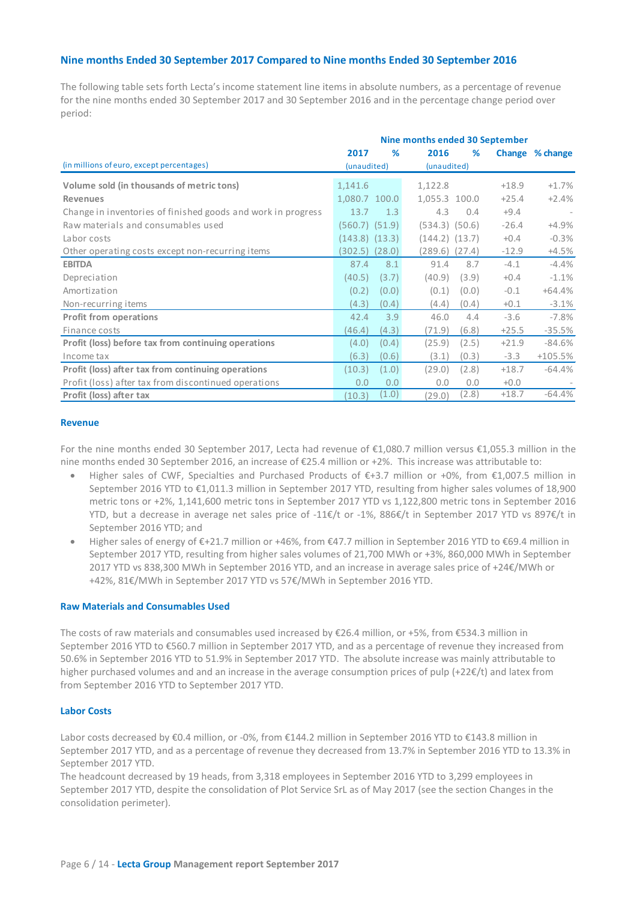## **Nine months Ended 30 September 2017 Compared to Nine months Ended 30 September 2016**

The following table sets forth Lecta's income statement line items in absolute numbers, as a percentage of revenue for the nine months ended 30 September 2017 and 30 September 2016 and in the percentage change period over period:

|                                                              | Nine months ended 30 September |        |                    |        |         |                 |
|--------------------------------------------------------------|--------------------------------|--------|--------------------|--------|---------|-----------------|
|                                                              | 2017                           | ℅      | 2016               | %      |         | Change % change |
| (in millions of euro, except percentages)                    | (unaudited)                    |        | (unaudited)        |        |         |                 |
| Volume sold (in thousands of metric tons)                    | 1,141.6                        |        | 1,122.8            |        | $+18.9$ | $+1.7%$         |
| <b>Revenues</b>                                              | 1,080.7 100.0                  |        | 1,055.3 100.0      |        | $+25.4$ | $+2.4%$         |
| Change in inventories of finished goods and work in progress | 13.7                           | 1.3    | 4.3                | 0.4    | $+9.4$  |                 |
| Raw materials and consumables used                           | $(560.7)$ $(51.9)$             |        | $(534.3)$ $(50.6)$ |        | $-26.4$ | +4.9%           |
| Labor costs                                                  | $(143.8)$ $(13.3)$             |        | $(144.2)$ $(13.7)$ |        | $+0.4$  | $-0.3%$         |
| Other operating costs except non-recurring items             | (302.5)                        | (28.0) | (289.6)            | (27.4) | $-12.9$ | $+4.5%$         |
| <b>EBITDA</b>                                                | 87.4                           | 8.1    | 91.4               | 8.7    | $-4.1$  | -4.4%           |
| Depreciation                                                 | (40.5)                         | (3.7)  | (40.9)             | (3.9)  | $+0.4$  | $-1.1%$         |
| Amortization                                                 | (0.2)                          | (0.0)  | (0.1)              | (0.0)  | $-0.1$  | $+64.4%$        |
| Non-recurring items                                          | (4.3)                          | (0.4)  | (4.4)              | (0.4)  | $+0.1$  | $-3.1%$         |
| <b>Profit from operations</b>                                | 42.4                           | 3.9    | 46.0               | 4.4    | $-3.6$  | $-7.8%$         |
| Finance costs                                                | (46.4)                         | (4.3)  | (71.9)             | (6.8)  | $+25.5$ | $-35.5%$        |
| Profit (loss) before tax from continuing operations          | (4.0)                          | (0.4)  | (25.9)             | (2.5)  | $+21.9$ | $-84.6%$        |
| Income tax                                                   | (6.3)                          | (0.6)  | (3.1)              | (0.3)  | $-3.3$  | $+105.5%$       |
| Profit (loss) after tax from continuing operations           | (10.3)                         | (1.0)  | (29.0)             | (2.8)  | $+18.7$ | $-64.4%$        |
| Profit (loss) after tax from discontinued operations         | 0.0                            | 0.0    | 0.0                | 0.0    | $+0.0$  |                 |
| Profit (loss) after tax                                      | (10.3)                         | (1.0)  | (29.0)             | (2.8)  | $+18.7$ | $-64.4%$        |

## **Revenue**

For the nine months ended 30 September 2017, Lecta had revenue of €1,080.7 million versus €1,055.3 million in the nine months ended 30 September 2016, an increase of €25.4 million or +2%. This increase was attributable to:

- Higher sales of CWF, Specialties and Purchased Products of €+3.7 million or +0%, from €1,007.5 million in September 2016 YTD to €1,011.3 million in September 2017 YTD, resulting from higher sales volumes of 18,900 metric tons or +2%, 1,141,600 metric tons in September 2017 YTD vs 1,122,800 metric tons in September 2016 YTD, but a decrease in average net sales price of -11€/t or -1%, 886€/t in September 2017 YTD vs 897€/t in September 2016 YTD; and
- Higher sales of energy of €+21.7 million or +46%, from €47.7 million in September 2016 YTD to €69.4 million in September 2017 YTD, resulting from higher sales volumes of 21,700 MWh or +3%, 860,000 MWh in September 2017 YTD vs 838,300 MWh in September 2016 YTD, and an increase in average sales price of +24€/MWh or +42%, 81€/MWh in September 2017 YTD vs 57€/MWh in September 2016 YTD.

## **Raw Materials and Consumables Used**

The costs of raw materials and consumables used increased by €26.4 million, or +5%, from €534.3 million in September 2016 YTD to €560.7 million in September 2017 YTD, and as a percentage of revenue they increased from 50.6% in September 2016 YTD to 51.9% in September 2017 YTD. The absolute increase was mainly attributable to higher purchased volumes and and an increase in the average consumption prices of pulp (+22€/t) and latex from from September 2016 YTD to September 2017 YTD.

## **Labor Costs**

Labor costs decreased by €0.4 million, or -0%, from €144.2 million in September 2016 YTD to €143.8 million in September 2017 YTD, and as a percentage of revenue they decreased from 13.7% in September 2016 YTD to 13.3% in September 2017 YTD.

The headcount decreased by 19 heads, from 3,318 employees in September 2016 YTD to 3,299 employees in September 2017 YTD, despite the consolidation of Plot Service SrL as of May 2017 (see the section Changes in the consolidation perimeter).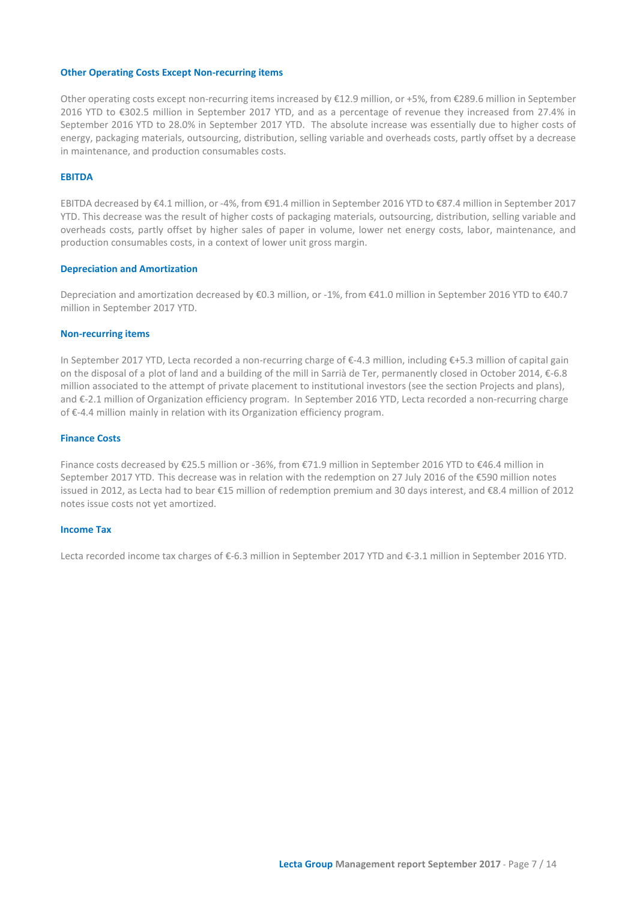#### **Other Operating Costs Except Non-recurring items**

Other operating costs except non-recurring items increased by €12.9 million, or +5%, from €289.6 million in September 2016 YTD to €302.5 million in September 2017 YTD, and as a percentage of revenue they increased from 27.4% in September 2016 YTD to 28.0% in September 2017 YTD. The absolute increase was essentially due to higher costs of energy, packaging materials, outsourcing, distribution, selling variable and overheads costs, partly offset by a decrease in maintenance, and production consumables costs.

#### **EBITDA**

EBITDA decreased by €4.1 million, or -4%, from €91.4 million in September 2016 YTD to €87.4 million in September 2017 YTD. This decrease was the result of higher costs of packaging materials, outsourcing, distribution, selling variable and overheads costs, partly offset by higher sales of paper in volume, lower net energy costs, labor, maintenance, and production consumables costs, in a context of lower unit gross margin.

#### **Depreciation and Amortization**

Depreciation and amortization decreased by €0.3 million, or -1%, from €41.0 million in September 2016 YTD to €40.7 million in September 2017 YTD.

#### **Non-recurring items**

In September 2017 YTD, Lecta recorded a non-recurring charge of €-4.3 million, including €+5.3 million of capital gain on the disposal of a plot of land and a building of the mill in Sarrià de Ter, permanently closed in October 2014, €-6.8 million associated to the attempt of private placement to institutional investors (see the section Projects and plans), and €-2.1 million of Organization efficiency program. In September 2016 YTD, Lecta recorded a non-recurring charge of €-4.4 million mainly in relation with its Organization efficiency program.

#### **Finance Costs**

Finance costs decreased by €25.5 million or -36%, from €71.9 million in September 2016 YTD to €46.4 million in September 2017 YTD. This decrease was in relation with the redemption on 27 July 2016 of the €590 million notes issued in 2012, as Lecta had to bear €15 million of redemption premium and 30 days interest, and €8.4 million of 2012 notes issue costs not yet amortized.

#### **Income Tax**

Lecta recorded income tax charges of €-6.3 million in September 2017 YTD and €-3.1 million in September 2016 YTD.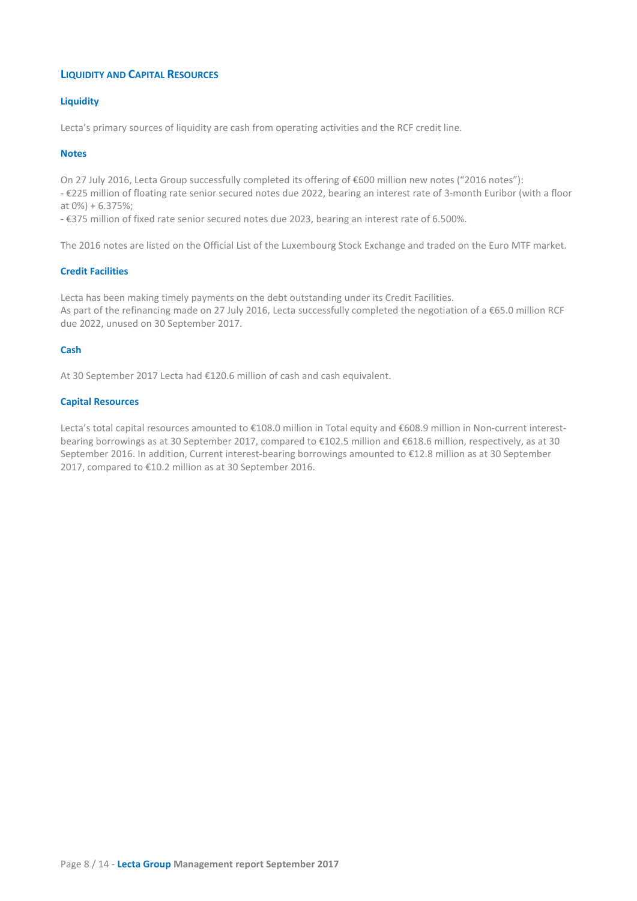# **LIQUIDITY AND CAPITAL RESOURCES**

## **Liquidity**

Lecta's primary sources of liquidity are cash from operating activities and the RCF credit line.

## **Notes**

On 27 July 2016, Lecta Group successfully completed its offering of €600 million new notes ("2016 notes"):

- €225 million of floating rate senior secured notes due 2022, bearing an interest rate of 3-month Euribor (with a floor at 0%) + 6.375%;

- €375 million of fixed rate senior secured notes due 2023, bearing an interest rate of 6.500%.

The 2016 notes are listed on the Official List of the Luxembourg Stock Exchange and traded on the Euro MTF market.

## **Credit Facilities**

Lecta has been making timely payments on the debt outstanding under its Credit Facilities. As part of the refinancing made on 27 July 2016, Lecta successfully completed the negotiation of a €65.0 million RCF due 2022, unused on 30 September 2017.

## **Cash**

At 30 September 2017 Lecta had €120.6 million of cash and cash equivalent.

## **Capital Resources**

Lecta's total capital resources amounted to €108.0 million in Total equity and €608.9 million in Non-current interestbearing borrowings as at 30 September 2017, compared to €102.5 million and €618.6 million, respectively, as at 30 September 2016. In addition, Current interest-bearing borrowings amounted to €12.8 million as at 30 September 2017, compared to €10.2 million as at 30 September 2016.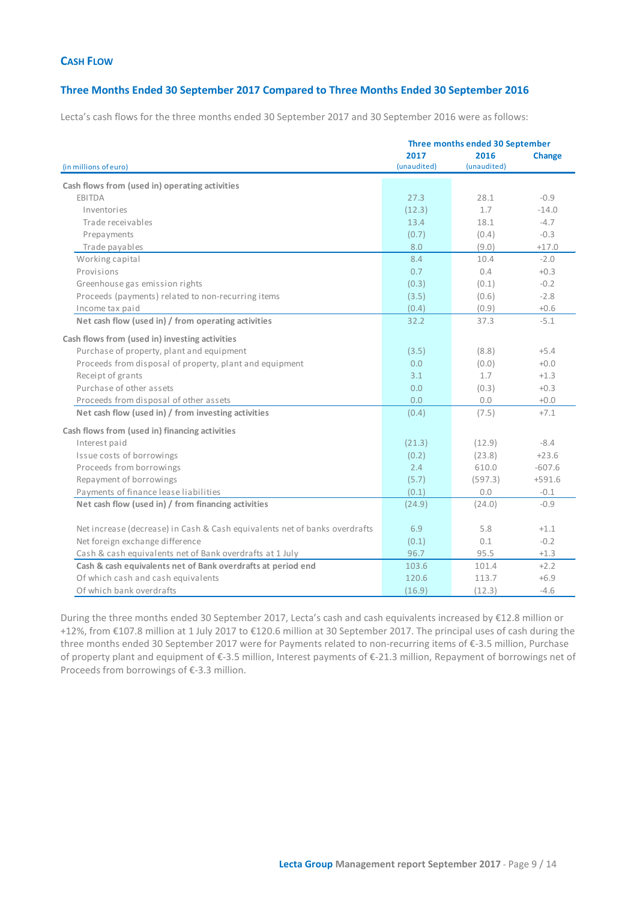## **CASH FLOW**

## **Three Months Ended 30 September 2017 Compared to Three Months Ended 30 September 2016**

Lecta's cash flows for the three months ended 30 September 2017 and 30 September 2016 were as follows:

|                                                                            | Three months ended 30 September |             |               |  |  |
|----------------------------------------------------------------------------|---------------------------------|-------------|---------------|--|--|
|                                                                            | 2017                            | 2016        | <b>Change</b> |  |  |
| (in millions of euro)                                                      | (unaudited)                     | (unaudited) |               |  |  |
| Cash flows from (used in) operating activities                             |                                 |             |               |  |  |
| <b>EBITDA</b>                                                              | 27.3                            | 28.1        | $-0.9$        |  |  |
| Inventories                                                                | (12.3)                          | 1.7         | $-14.0$       |  |  |
| Trade receivables                                                          | 13.4                            | 18.1        | $-4.7$        |  |  |
| Prepayments                                                                | (0.7)                           | (0.4)       | $-0.3$        |  |  |
| Trade payables                                                             | 8.0                             | (9.0)       | $+17.0$       |  |  |
| Working capital                                                            | 8.4                             | 10.4        | $-2.0$        |  |  |
| Provisions                                                                 | 0.7                             | 0.4         | $+0.3$        |  |  |
| Greenhouse gas emission rights                                             | (0.3)                           | (0.1)       | $-0.2$        |  |  |
| Proceeds (payments) related to non-recurring items                         | (3.5)                           | (0.6)       | $-2.8$        |  |  |
| Income tax paid                                                            | (0.4)                           | (0.9)       | $+0.6$        |  |  |
| Net cash flow (used in) / from operating activities                        | 32.2                            | 37.3        | $-5.1$        |  |  |
| Cash flows from (used in) investing activities                             |                                 |             |               |  |  |
| Purchase of property, plant and equipment                                  | (3.5)                           | (8.8)       | $+5.4$        |  |  |
| Proceeds from disposal of property, plant and equipment                    | 0.0                             | (0.0)       | $+0.0$        |  |  |
| Receipt of grants                                                          | 3.1                             | 1.7         | $+1.3$        |  |  |
| Purchase of other assets                                                   | 0.0                             | (0.3)       | $+0.3$        |  |  |
| Proceeds from disposal of other assets                                     | 0.0                             | 0.0         | $+0.0$        |  |  |
| Net cash flow (used in) / from investing activities                        | (0.4)                           | (7.5)       | $+7.1$        |  |  |
| Cash flows from (used in) financing activities                             |                                 |             |               |  |  |
| Interest paid                                                              | (21.3)                          | (12.9)      | $-8.4$        |  |  |
| Issue costs of borrowings                                                  | (0.2)                           | (23.8)      | $+23.6$       |  |  |
| Proceeds from borrowings                                                   | 2.4                             | 610.0       | $-607.6$      |  |  |
| Repayment of borrowings                                                    | (5.7)                           | (597.3)     | $+591.6$      |  |  |
| Payments of finance lease liabilities                                      | (0.1)                           | 0.0         | $-0.1$        |  |  |
| Net cash flow (used in) / from financing activities                        | (24.9)                          | (24.0)      | $-0.9$        |  |  |
|                                                                            |                                 |             |               |  |  |
| Net increase (decrease) in Cash & Cash equivalents net of banks overdrafts | 6.9                             | 5.8         | $+1.1$        |  |  |
| Net foreign exchange difference                                            | (0.1)                           | 0.1         | $-0.2$        |  |  |
| Cash & cash equivalents net of Bank overdrafts at 1 July                   | 96.7                            | 95.5        | $+1.3$        |  |  |
| Cash & cash equivalents net of Bank overdrafts at period end               | 103.6                           | 101.4       | $+2.2$        |  |  |
| Of which cash and cash equivalents                                         | 120.6                           | 113.7       | $+6.9$        |  |  |
| Of which bank overdrafts                                                   | (16.9)                          | (12.3)      | $-4.6$        |  |  |

During the three months ended 30 September 2017, Lecta's cash and cash equivalents increased by €12.8 million or +12%, from €107.8 million at 1 July 2017 to €120.6 million at 30 September 2017. The principal uses of cash during the three months ended 30 September 2017 were for Payments related to non-recurring items of €-3.5 million, Purchase of property plant and equipment of €-3.5 million, Interest payments of €-21.3 million, Repayment of borrowings net of Proceeds from borrowings of €-3.3 million.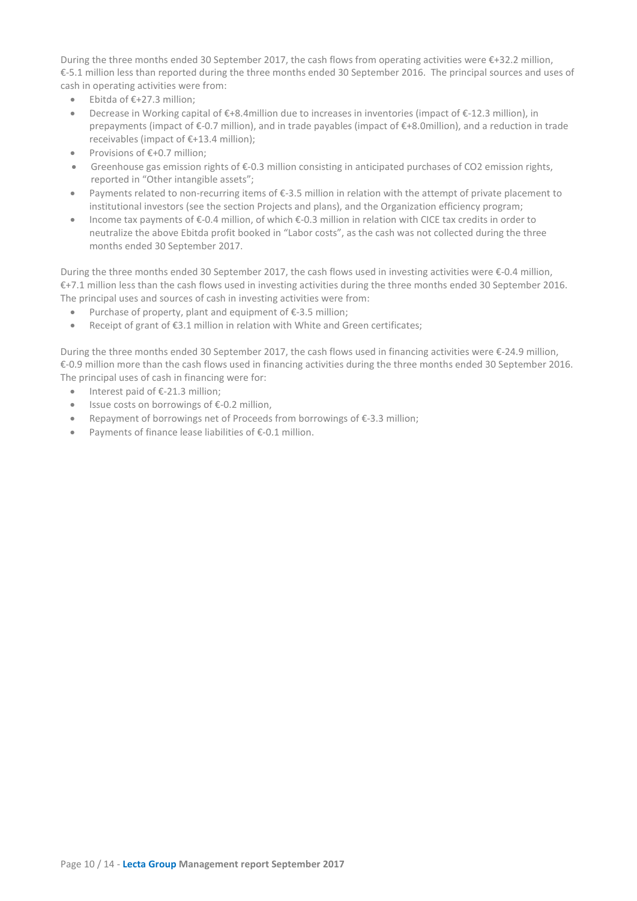During the three months ended 30 September 2017, the cash flows from operating activities were €+32.2 million, €-5.1 million less than reported during the three months ended 30 September 2016. The principal sources and uses of cash in operating activities were from:

- Ebitda of €+27.3 million;
- Decrease in Working capital of €+8.4million due to increases in inventories (impact of €-12.3 million), in prepayments (impact of €-0.7 million), and in trade payables (impact of €+8.0million), and a reduction in trade receivables (impact of €+13.4 million);
- Provisions of €+0.7 million;
- Greenhouse gas emission rights of €-0.3 million consisting in anticipated purchases of CO2 emission rights, reported in "Other intangible assets";
- Payments related to non-recurring items of €-3.5 million in relation with the attempt of private placement to institutional investors (see the section Projects and plans), and the Organization efficiency program;
- Income tax payments of €-0.4 million, of which €-0.3 million in relation with CICE tax credits in order to neutralize the above Ebitda profit booked in "Labor costs", as the cash was not collected during the three months ended 30 September 2017.

During the three months ended 30 September 2017, the cash flows used in investing activities were €-0.4 million, €+7.1 million less than the cash flows used in investing activities during the three months ended 30 September 2016. The principal uses and sources of cash in investing activities were from:

- Purchase of property, plant and equipment of  $E$ -3.5 million;
- Receipt of grant of €3.1 million in relation with White and Green certificates;

During the three months ended 30 September 2017, the cash flows used in financing activities were €-24.9 million, €-0.9 million more than the cash flows used in financing activities during the three months ended 30 September 2016. The principal uses of cash in financing were for:

- Interest paid of €-21.3 million;
- Issue costs on borrowings of €-0.2 million,
- Repayment of borrowings net of Proceeds from borrowings of €-3.3 million;
- Payments of finance lease liabilities of €-0.1 million.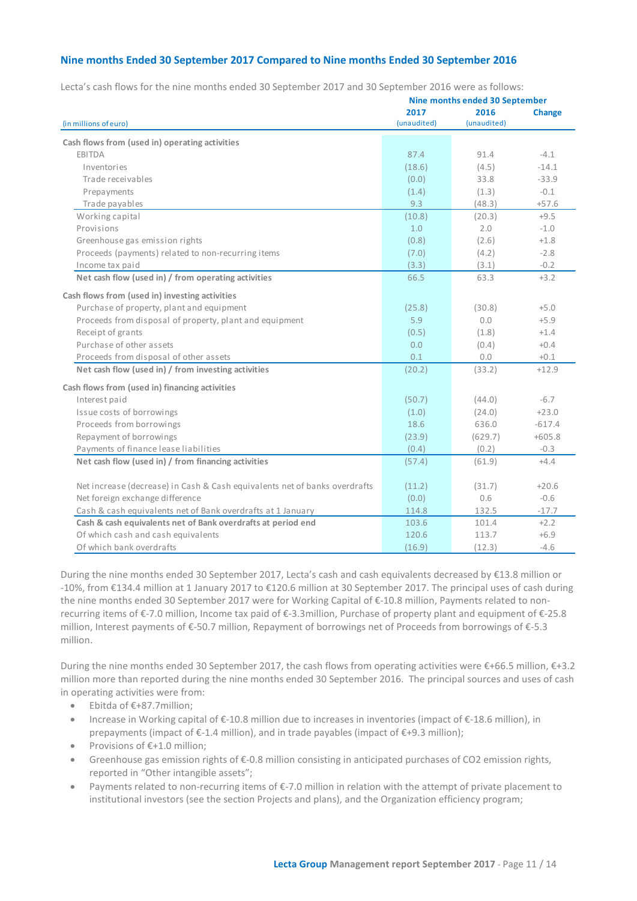## **Nine months Ended 30 September 2017 Compared to Nine months Ended 30 September 2016**

Lecta's cash flows for the nine months ended 30 September 2017 and 30 September 2016 were as follows:

|                                                                            |                     | Nine months ended 30 September |               |
|----------------------------------------------------------------------------|---------------------|--------------------------------|---------------|
| (in millions of euro)                                                      | 2017<br>(unaudited) | 2016<br>(unaudited)            | <b>Change</b> |
| Cash flows from (used in) operating activities                             |                     |                                |               |
| EBITDA                                                                     | 87.4                | 91.4                           | $-4.1$        |
| Inventories                                                                | (18.6)              | (4.5)                          | $-14.1$       |
| Trade receivables                                                          | (0.0)               | 33.8                           | $-33.9$       |
| Prepayments                                                                | (1.4)               | (1.3)                          | $-0.1$        |
| Trade payables                                                             | 9.3                 | (48.3)                         | $+57.6$       |
|                                                                            |                     |                                | $+9.5$        |
| Working capital<br>Provisions                                              | (10.8)<br>1.0       | (20.3)<br>2.0                  | $-1.0$        |
|                                                                            |                     |                                |               |
| Greenhouse gas emission rights                                             | (0.8)               | (2.6)                          | $+1.8$        |
| Proceeds (payments) related to non-recurring items                         | (7.0)               | (4.2)                          | $-2.8$        |
| Income tax paid                                                            | (3.3)               | (3.1)                          | $-0.2$        |
| Net cash flow (used in) / from operating activities                        | 66.5                | 63.3                           | $+3.2$        |
| Cash flows from (used in) investing activities                             |                     |                                |               |
| Purchase of property, plant and equipment                                  | (25.8)              | (30.8)                         | $+5.0$        |
| Proceeds from disposal of property, plant and equipment                    | 5.9                 | 0.0                            | $+5.9$        |
| Receipt of grants                                                          | (0.5)               | (1.8)                          | $+1.4$        |
| Purchase of other assets                                                   | 0.0                 | (0.4)                          | $+0.4$        |
| Proceeds from disposal of other assets                                     | 0.1                 | 0.0                            | $+0.1$        |
| Net cash flow (used in) / from investing activities                        | (20.2)              | (33.2)                         | $+12.9$       |
| Cash flows from (used in) financing activities                             |                     |                                |               |
| Interest paid                                                              | (50.7)              | (44.0)                         | $-6.7$        |
| Issue costs of borrowings                                                  | (1.0)               | (24.0)                         | $+23.0$       |
| Proceeds from borrowings                                                   | 18.6                | 636.0                          | $-617.4$      |
| Repayment of borrowings                                                    | (23.9)              | (629.7)                        | $+605.8$      |
| Payments of finance lease liabilities                                      | (0.4)               | (0.2)                          | $-0.3$        |
| Net cash flow (used in) / from financing activities                        | (57.4)              | (61.9)                         | $+4.4$        |
|                                                                            |                     |                                |               |
| Net increase (decrease) in Cash & Cash equivalents net of banks overdrafts | (11.2)              | (31.7)                         | $+20.6$       |
| Net foreign exchange difference                                            | (0.0)               | 0.6                            | $-0.6$        |
| Cash & cash equivalents net of Bank overdrafts at 1 January                | 114.8               | 132.5                          | $-17.7$       |
| Cash & cash equivalents net of Bank overdrafts at period end               | 103.6               | 101.4                          | $+2.2$        |
| Of which cash and cash equivalents                                         | 120.6               | 113.7                          | $+6.9$        |
| Of which bank overdrafts                                                   | (16.9)              | (12.3)                         | $-4.6$        |

During the nine months ended 30 September 2017, Lecta's cash and cash equivalents decreased by €13.8 million or -10%, from €134.4 million at 1 January 2017 to €120.6 million at 30 September 2017. The principal uses of cash during the nine months ended 30 September 2017 were for Working Capital of €-10.8 million, Payments related to nonrecurring items of €-7.0 million, Income tax paid of €-3.3million, Purchase of property plant and equipment of €-25.8 million, Interest payments of €-50.7 million, Repayment of borrowings net of Proceeds from borrowings of €-5.3 million.

During the nine months ended 30 September 2017, the cash flows from operating activities were €+66.5 million, €+3.2 million more than reported during the nine months ended 30 September 2016. The principal sources and uses of cash in operating activities were from:

- Ebitda of €+87.7million;
- Increase in Working capital of €-10.8 million due to increases in inventories (impact of €-18.6 million), in prepayments (impact of  $\epsilon$ -1.4 million), and in trade payables (impact of  $\epsilon$ +9.3 million);
- Provisions of €+1.0 million;
- Greenhouse gas emission rights of €-0.8 million consisting in anticipated purchases of CO2 emission rights, reported in "Other intangible assets";
- Payments related to non-recurring items of €-7.0 million in relation with the attempt of private placement to institutional investors (see the section Projects and plans), and the Organization efficiency program;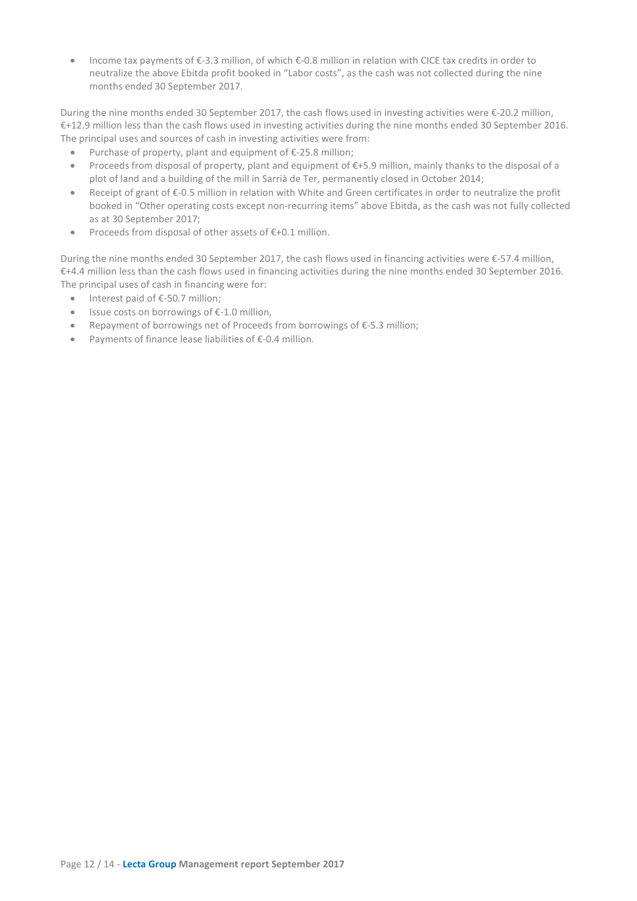• Income tax payments of €-3.3 million, of which €-0.8 million in relation with CICE tax credits in order to neutralize the above Ebitda profit booked in "Labor costs", as the cash was not collected during the nine months ended 30 September 2017.

During the nine months ended 30 September 2017, the cash flows used in investing activities were €-20.2 million, €+12.9 million less than the cash flows used in investing activities during the nine months ended 30 September 2016. The principal uses and sources of cash in investing activities were from:

- Purchase of property, plant and equipment of €-25.8 million;
- Proceeds from disposal of property, plant and equipment of €+5.9 million, mainly thanks to the disposal of a plot of land and a building of the mill in Sarrià de Ter, permanently closed in October 2014;
- Receipt of grant of €-0.5 million in relation with White and Green certificates in order to neutralize the profit booked in "Other operating costs except non-recurring items" above Ebitda, as the cash was not fully collected as at 30 September 2017;
- Proceeds from disposal of other assets of €+0.1 million.

During the nine months ended 30 September 2017, the cash flows used in financing activities were €-57.4 million, €+4.4 million less than the cash flows used in financing activities during the nine months ended 30 September 2016. The principal uses of cash in financing were for:

- Interest paid of €-50.7 million;
- Issue costs on borrowings of €-1.0 million,
- Repayment of borrowings net of Proceeds from borrowings of €-5.3 million;
- Payments of finance lease liabilities of €-0.4 million.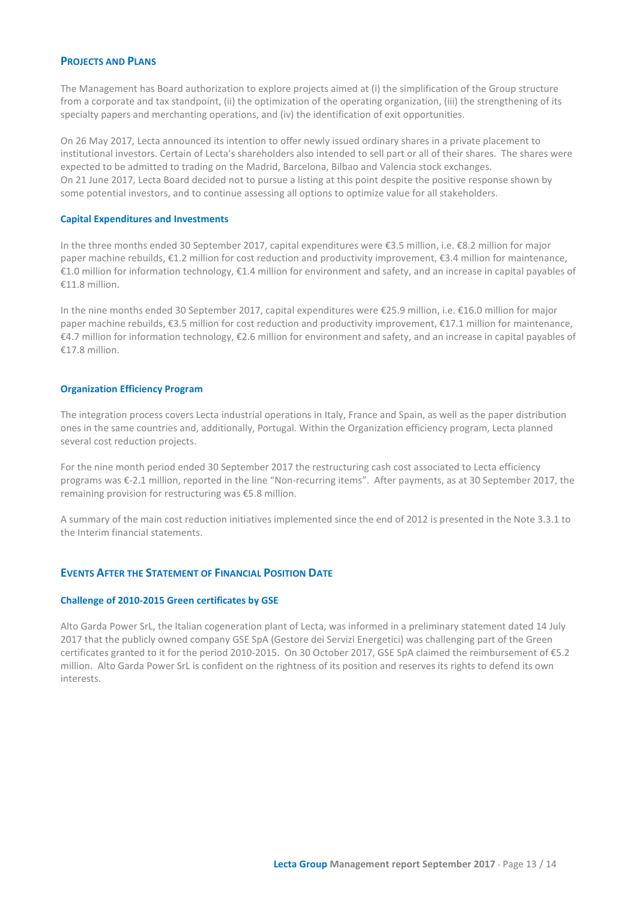## **PROJECTS AND PLANS**

The Management has Board authorization to explore projects aimed at (i) the simplification of the Group structure from a corporate and tax standpoint, (ii) the optimization of the operating organization, (iii) the strengthening of its specialty papers and merchanting operations, and (iv) the identification of exit opportunities.

On 26 May 2017, Lecta announced its intention to offer newly issued ordinary shares in a private placement to institutional investors. Certain of Lecta's shareholders also intended to sell part or all of their shares. The shares were expected to be admitted to trading on the Madrid, Barcelona, Bilbao and Valencia stock exchanges. On 21 June 2017, Lecta Board decided not to pursue a listing at this point despite the positive response shown by some potential investors, and to continue assessing all options to optimize value for all stakeholders.

## **Capital Expenditures and Investments**

In the three months ended 30 September 2017, capital expenditures were €3.5 million, i.e. €8.2 million for major paper machine rebuilds, €1.2 million for cost reduction and productivity improvement, €3.4 million for maintenance, €1.0 million for information technology, €1.4 million for environment and safety, and an increase in capital payables of €11.8 million.

In the nine months ended 30 September 2017, capital expenditures were €25.9 million, i.e. €16.0 million for major paper machine rebuilds, €3.5 million for cost reduction and productivity improvement, €17.1 million for maintenance, €4.7 million for information technology, €2.6 million for environment and safety, and an increase in capital payables of €17.8 million.

## **Organization Efficiency Program**

The integration process covers Lecta industrial operations in Italy, France and Spain, as well as the paper distribution ones in the same countries and, additionally, Portugal. Within the Organization efficiency program, Lecta planned several cost reduction projects.

For the nine month period ended 30 September 2017 the restructuring cash cost associated to Lecta efficiency programs was €-2.1 million, reported in the line "Non-recurring items". After payments, as at 30 September 2017, the remaining provision for restructuring was €5.8 million.

A summary of the main cost reduction initiatives implemented since the end of 2012 is presented in the Note 3.3.1 to the Interim financial statements.

## **EVENTS AFTER THE STATEMENT OF FINANCIAL POSITION DATE**

#### **Challenge of 2010-2015 Green certificates by GSE**

Alto Garda Power SrL, the Italian cogeneration plant of Lecta, was informed in a preliminary statement dated 14 July 2017 that the publicly owned company GSE SpA (Gestore dei Servizi Energetici) was challenging part of the Green certificates granted to it for the period 2010-2015. On 30 October 2017, GSE SpA claimed the reimbursement of €5.2 million. Alto Garda Power SrL is confident on the rightness of its position and reserves its rights to defend its own interests.